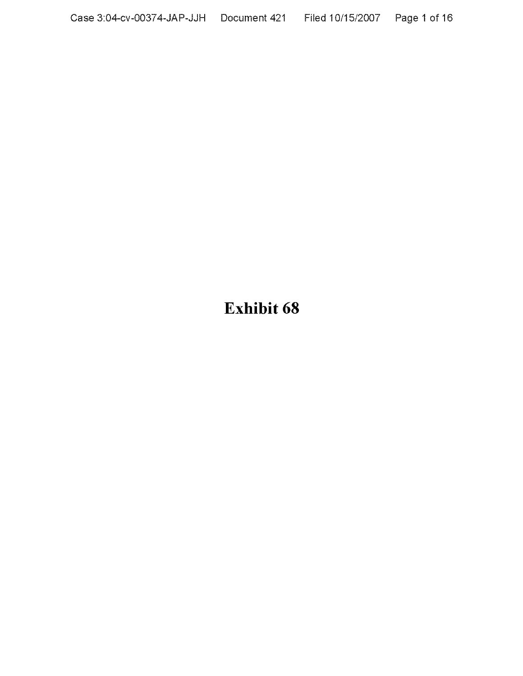**Exhibit 68**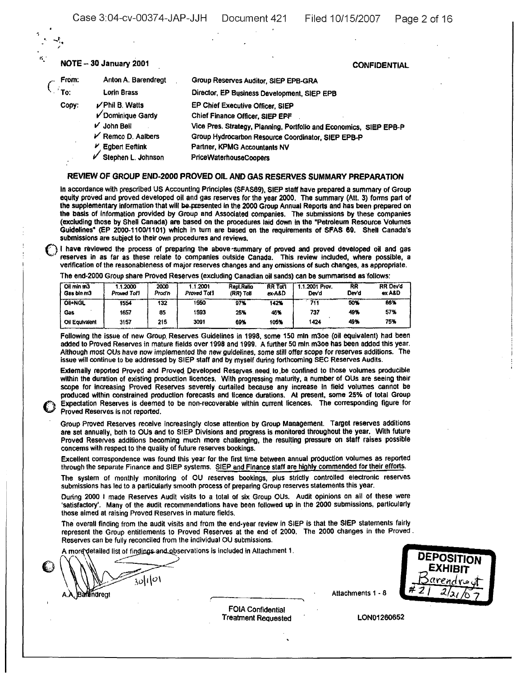## re.. - NOTE - <sup>30</sup> January <sup>2001</sup> CONFIDENTIAL

| From:              | Anton A. Barendregt  | Group Reserves Auditor, SIEP EPB-GRA                               |
|--------------------|----------------------|--------------------------------------------------------------------|
| $\blacksquare$ To: | Lorin Brass          | Director, EP Business Development, SIEP EPB                        |
| Copy:              | $\nu$ Phil B. Watts  | EP Chief Executive Officer, SIEP                                   |
|                    | V Dominique Gardy    | Chief Finance Officer, SIEP EPF                                    |
|                    | $V$ John Bell        | Vice Pres. Strategy, Planning, Portfolio and Economics, SIEP EPB-P |
|                    | $V$ Remco D. Aalbers | Group Hydrocarbon Resource Coordinator, SIEP EPB-P                 |
|                    | $V$ Egbert Eeftink   | Partner, KPMG Accountants NV                                       |
|                    | Stephen L. Johnson   | PriceWaterhouseCoopers                                             |

#### REVIEW OF GROUP END-2000 PROVED OIL AND GAS RESERVES SUMMARY PREPARATION

In accordance with prescribed US Accounting Principles (SFAS69), StEP staff have prepared a summary of Group equity proved and proved developed oil and gas reserves for the year 2000. The summary (Att. 3) forms part of the supplementary information that will be-presented in the 2000 Group Annual Reports and has been prepared on the basis of information provided by Group and Associated companies. The submissions by these companies (excluding those by Shell Canada) are based on the procedures laid down In the ·Petroleum Resource Volumes Guidelines<sup>\*</sup> (EP 2000-1100/1101) which in turn are based on the requirements of SFAS 69. Shell Canada's submissions are subject to their own procedures and reviews.

submissions are subject to their own procedures and reviews.<br>
I have reviewed the process of preparing the above -summary of proved and proved developed oil and gas<br>
concess in as far as these relate to companies outside C reserves in as far as these relate to companies outside Canada. This review included, where possible, a verification of the reasonableness of major reserves changes and any omissions of such changes, as appropriate.

The end-2000 Group share Proved Reserves (excluding Canadian oil sands) can be summarised as'follows:

| Oil min m3<br>Gas bin m3 | .2000<br><b>Proved Tol'l</b> | 2000<br>Prod'n | .1.2001<br>Proved Tol! | <b>Repl.Ratio</b><br>(RR) Toll | <b>RR Tol'l</b><br>ex-A&D | 1.1.2001 Prov.<br>Dev'd | RR<br>Dev'd | <b>RR Dev'd</b><br>ex A&D |
|--------------------------|------------------------------|----------------|------------------------|--------------------------------|---------------------------|-------------------------|-------------|---------------------------|
| <b>OII+NGL</b>           | 1554                         | 132            | 1550                   | 97%                            | 142%                      | 711                     | 50%         | 86%                       |
| Gas                      | 1657                         | 85             | 1593                   | 25%                            | 46%                       | 737                     | 49%         | 57%                       |
| Oil Equivalent           | 3157                         | 215            | 3091                   | 69%                            | 105%                      | 1424                    | 49%         | 75%                       |

Following the issue of new Group Reserves Guidelines in 1998, some 150 mln m30e (oil equivalent) had been added to Proved Reserves in mature fields over 1998 and 1999. A further 50 mln m30e has been added this year. Although most OUs have now implemented the new guIdelines, some still offer scope for reserves additions. The issue will continue to be addressed by SIEP staff and by myself during forthcoming SEC Reserves Audits.

Externally reported Proved and Proved Developed Reserves need to be confined to those volumes producible within the duration of existing production licences. With progressing maturity. a number of OUs are seeing their scope for increasing Proved Reserves severely curtailed because any increase in field volumes cannot be produced within constrained production forecasts and licence durations. At present, some 25% of total Group Expectation Reserves is deemed to be non-recoverable within current licences. The corresponding figure for Proved Reserves is not reported.

Group proved Reserves receive increasingly close attention by Group Management. Target reserves additions are set annually, both to OUs and to StEP Divisions and progress is monitored throughout the year. With future Proved Reserves additions becoming much more challenging, the resulting pressure on staff raises possible concems with respect to the quality of future reserves bookings.

Excellent correspondence was found this year for the first lime between. annual production volumes as reported through the separate Finance and SIEP systems. SIEP and Finance staff are highly commended for their efforts.

The system of monthly monitoring of OU reserves bookings, plus strictly controlled electronic reserves submissions has led to a particularly smooth process of preparing Group reserves statements this year.

During 2000 I made Reserves Audit visits to a total of six Group OUs. Audit opinions on all of these were 'satisfactory'. Many of the audit recommendations have been followed up in the 2000 SUbmissions, particularly those aimed at raising Proved Reserves in mature fields.

The overall finding from the audit visits and from the end-year review in SIEP is that the SIEP statements fairly represent the Group entitlements to Proved Reserves at the end' of 2000. The 2000 changes in the Proved. Reserves can be fully reconciled from the individual OU submissions.

A more detailed list of findings and observations is included in Attachment 1.

*\ -7:.',0\1\0\* **Barandregt Attachments 1 - 8** 

o



FOIA Confidential Treatment Requested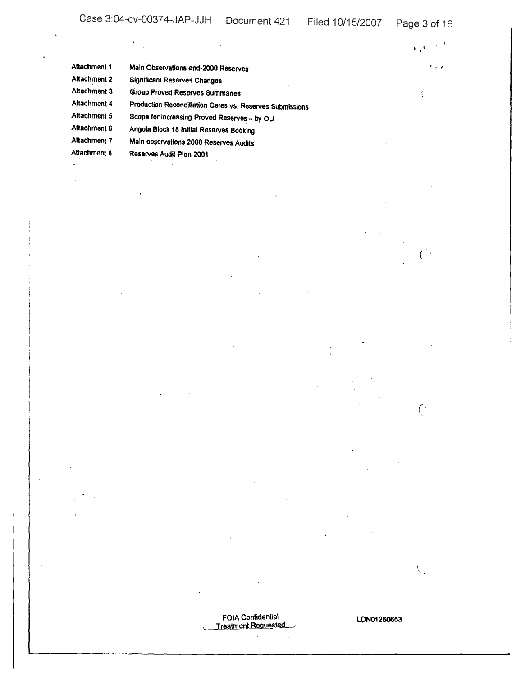| Attachment 1 | Main Observations end-2000 Reserves                      | $\sim$ $\sim$ |
|--------------|----------------------------------------------------------|---------------|
| Attachment 2 | <b>Significant Reserves Changes</b>                      |               |
| Attachment 3 | <b>Group Proved Reserves Summaries</b>                   |               |
| Attachment 4 | Production Reconciliation Ceres vs. Reserves Submissions |               |
| Attachment 5 | Scope for increasing Proved Reserves - by OU             |               |
| Attachment 6 | Angola Block 18 Initial Reserves Booking                 |               |
| Attachment 7 | Main observations 2000 Reserves Audits                   |               |
| Attachment 8 | Reserves Audit Plan 2001                                 |               |
|              |                                                          |               |

FOIA Confidential<br>Treatment Requested

 $\overline{C}$ 

 $\overline{C}$ 

 $\hat{\zeta}$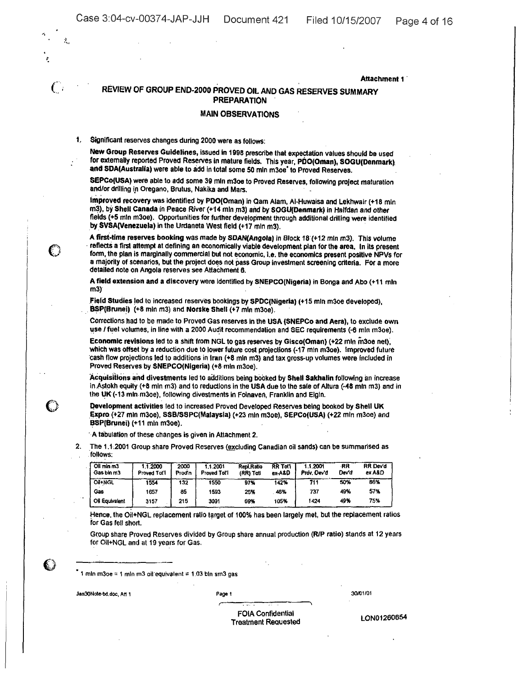$\sim$ 

 $\overline{\phantom{a}}$ 

 $\mathcal{L}_{\text{max}}$  and  $\mathcal{L}_{\text{max}}$  and  $\mathcal{L}_{\text{max}}$ 

 $\ddot{\phantom{a}}$ .

 $\frac{1}{2}$ 

 $\sim$   $\sim$ 

 $\mathbf{C}$ 

 $\mathcal{P}_{\mathbf{r}}$ 

 $\mathcal{L}$ 

|    |                                                                                                                                                                                                                                                                                                                                                                     | REVIEW OF GROUP END-2000 PROVED OIL AND GAS RESERVES SUMMARY |                |                                                                                                     | <b>PREPARATION</b>             |                          |                         |             |                                                                                                                                                                                                                  |
|----|---------------------------------------------------------------------------------------------------------------------------------------------------------------------------------------------------------------------------------------------------------------------------------------------------------------------------------------------------------------------|--------------------------------------------------------------|----------------|-----------------------------------------------------------------------------------------------------|--------------------------------|--------------------------|-------------------------|-------------|------------------------------------------------------------------------------------------------------------------------------------------------------------------------------------------------------------------|
|    |                                                                                                                                                                                                                                                                                                                                                                     |                                                              |                | <b>MAIN OBSERVATIONS</b>                                                                            |                                |                          |                         |             |                                                                                                                                                                                                                  |
| 1. | Significant reserves changes during 2000 were as follows:                                                                                                                                                                                                                                                                                                           |                                                              |                |                                                                                                     |                                |                          |                         |             |                                                                                                                                                                                                                  |
|    | New Group Reserves Guidelines, issued in 1998 prescribe that expectation values should be used<br>for externally reported Proved Reserves in mature fields. This year, PDO(Oman), SOGU(Denmark).<br>and SDA(Australia) were able to add in total some 50 mln m3oe' to Proved Reserves.                                                                              |                                                              |                |                                                                                                     |                                |                          |                         |             |                                                                                                                                                                                                                  |
|    | SEPCo(USA) were able to add some 39 mln m3oe to Proved Reserves, following project maturation<br>and/or drilling in Oregano, Brutus, Nakika and Mars.                                                                                                                                                                                                               |                                                              |                |                                                                                                     |                                |                          |                         |             |                                                                                                                                                                                                                  |
|    | Improved recovery was identified by PDO(Oman) in Qam Alam, Al-Huwaisa and Lekhwair (+18 mln<br>m3), by Shell Canada in Peace River (+14 mln m3) and by SOGU(Denmark) in Halfdan and other<br>fields (+5 mln m3oe). Opportunities for further development through additional drilling were identified<br>by SVSA(Venezuela) in the Urdaneta West field (+17 mln m3). |                                                              |                |                                                                                                     |                                |                          |                         |             |                                                                                                                                                                                                                  |
|    | A first-time reserves booking was made by SDAN(Angola) in Block 18 (+12 mln m3). This volume<br>- reflects a first attempt at defining an economically viable development plan for the area. In its present<br>detailed note on Angola reserves see Attachment 6.                                                                                                   |                                                              |                |                                                                                                     |                                |                          |                         |             | form, the plan is marginally commercial but not economic, i.e. the economics present positive NPVs for<br>a majority of scenarios, but the project does not pass Group investment screening criteria. For a more |
|    | A field extension and a discovery were identified by SNEPCO(Nigeria) in Bonga and Abo (+11 mln<br>m3                                                                                                                                                                                                                                                                |                                                              |                |                                                                                                     |                                |                          |                         |             |                                                                                                                                                                                                                  |
|    | Field Studies led to increased reserves bookings by SPDC(Nigeria) (+15 mln m3oe developed),<br>BSP(Brunei) (+8 mln m3) and Norske Shell (+7 mln m3oe).                                                                                                                                                                                                              |                                                              |                |                                                                                                     |                                |                          |                         |             |                                                                                                                                                                                                                  |
|    | Corrections had to be made to Proved Gas reserves in the USA (SNEPCo and Aera), to exclude own<br>use / fuel volumes, in line with a 2000 Audit recommendation and SEC requirements (-6 mln m3oe).                                                                                                                                                                  |                                                              |                |                                                                                                     |                                |                          |                         |             |                                                                                                                                                                                                                  |
|    | Economic revisions led to a shift from NGL to gas reserves by Gisco(Oman) (+22 mln m3oe net),<br>which was offset by a reduction due to lower future cost projections (-17 min m3oe). Improved future<br>cash flow projections led to additions in fran (+8 mln m3) and tax gross-up volumes were included in<br>Proved Reserves by SNEPCO(Nigeria) (+8 min m3oe).  |                                                              |                |                                                                                                     |                                |                          |                         |             |                                                                                                                                                                                                                  |
|    | the UK (-13 mln m3oe), following divestments in Folnaven, Franklin and Elgin.                                                                                                                                                                                                                                                                                       |                                                              |                |                                                                                                     |                                |                          |                         |             | Acquisitions and divestments led to additions being booked by Shell Sakhalin following an increase<br>in Astokh equity (+8 min m3) and to reductions in the USA due to the sale of Altura (-48 min m3) and in    |
|    | Development activities led to increased Proved Developed Reserves being booked by Shell UK<br>Expro (+27 mln m3oe), SSB/SSPC(Malaysia) (+23 mln m3oe), SEPCo(USA) (+22 mln m3oe) and<br>BSP(Brunei) (+11 min m3oe).                                                                                                                                                 |                                                              |                |                                                                                                     |                                |                          |                         |             |                                                                                                                                                                                                                  |
|    | A tabulation of these changes is given in Attachment 2.                                                                                                                                                                                                                                                                                                             |                                                              |                |                                                                                                     |                                |                          |                         |             |                                                                                                                                                                                                                  |
| 2. | The 1.1.2001 Group share Proved Reserves (excluding Canadian oil sands) can be summarised as<br>follows:                                                                                                                                                                                                                                                            |                                                              |                |                                                                                                     |                                |                          |                         |             |                                                                                                                                                                                                                  |
|    | Oil min m3<br>Gas bin m3                                                                                                                                                                                                                                                                                                                                            | 11.2000<br>Proved Tot'l                                      | 2000<br>Prod'n | 1.1.2001<br>Proved Tot'l                                                                            | <b>Repl.Ratio</b><br>(RR) Toti | <b>RR Toll</b><br>ех-А&О | 1.1,2001<br>Prov. Dev'd | RR<br>Dev'd | RR Dev'd<br>ex A&D                                                                                                                                                                                               |
|    | Oil+NGL                                                                                                                                                                                                                                                                                                                                                             | 1554                                                         | 132            | 1550                                                                                                | 97%                            | 142%                     | 711                     | 50%         | 86%                                                                                                                                                                                                              |
|    | Gas                                                                                                                                                                                                                                                                                                                                                                 | 1657                                                         | 85             | 1593                                                                                                | 25%                            | 46%                      | 737                     | 49%         | 57%                                                                                                                                                                                                              |
|    | Oil Equivalent                                                                                                                                                                                                                                                                                                                                                      | 3157                                                         | 215            | 3091                                                                                                | 69%                            | 105%                     | 1424                    | 49%         | 75%                                                                                                                                                                                                              |
|    | for Gas fell short.                                                                                                                                                                                                                                                                                                                                                 |                                                              |                |                                                                                                     |                                |                          |                         |             | Hence, the Oil+NGL replacement ratio target of 100% has been largely met, but the replacement ratios                                                                                                             |
|    |                                                                                                                                                                                                                                                                                                                                                                     |                                                              |                | Group share Proved Reserves divided by Group share annual production (R/P ratio) stands at 12 years |                                |                          |                         |             |                                                                                                                                                                                                                  |

 $\degree$  1 mln m3oe = 1 mln m3 oil equivalent = 1.03 bln sm3 gas

Jan30Note-bt.doc, Att 1 Page 1

 $\sim$ 

т.,

r

30/01/01

 $\bar{1}$ 

 $\ddot{\phantom{0}}$ 

FOIA Confidential Treatment ReQuested

LON01260654

 $\ddot{\phantom{a}}$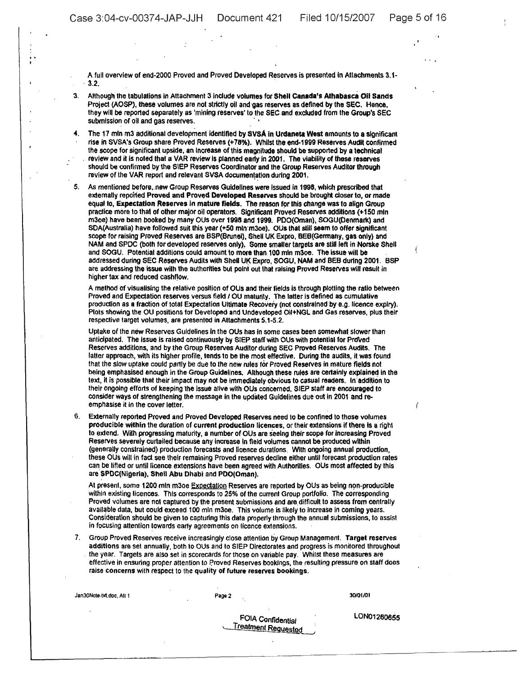į

Í

...

A full overview of end-2000 Proved and Proved Developed Reserves is presented in Attachments 3.1-<br>3.2.

- 3. Although the tabulations in Attachment 3 include volumes for Shell Canada's Athabasca Oil Sands Project (AOSP). these volumes are not strictly oil and'gas reserves as defined by the SEC. Hence, they will be reported separately as 'mining reserves' to the SEC and excluded from the Group's SEC submission of oil and gas reserves.
- 4. The 17 mln m3 additional development identified by SVSA in Urdaneta West amounts to a significant rise in SVSA's Group share Proved Reserves (+78%). Whilst the end-1999 Reserves Audit confirmed the scope for significant upside, an Increase of this magnitude should be supported by a technical review and it is noted that a VAR review is planned early in 2001. The viability of these reserves should be confirmed bythe SIEP Reserves Coordinator and the Group Reserves Auditor through review of the VAR report and relevant SVSA documentation during 2001.

5, As mentioned before,new Group Reserves Guidelines were issued in 1998, which prescribed that externally repoited Proved and Proved Developed Reserves should be brought closer to, or made equal to, Expectation Reserves in mature fields. The reason for this change was to align Group practice more to that of other major oil operators. Significant Proved Reserves additions (+150 mln m30e) have been booked by many OUs over 1998 and 1999. PDO(Oman), SOGU(Denmark) and SDA(Australia) have followed suit this year (+50 mln·m30e). OUs that still seem to offer significant scope for raising Proved Reserves are BSP(Brunel), Shell UK Expro, BEB(Germany, gas only) and NAM and SPDC (both for developed reserves only), Some smaller targets are still left in Norske Shell and SOGU. Potential additions could amount to more than 100 mln m3oe. The issue will be addressed during SEC Reserves Audits with Shell UK Expro, SOGU, NAM and BEB during 2001. BSP are addressing the issue with the authorities but point out that raising Proved Reserves will result in higher tax and reduced cashflow.

A method of visualising the relative position of OUs and their fields is through plotting the ralio between Proved and Expectation reserves versus field / OU maturity. The latter is defined as cumulative production as a fraction of total Expectation Ultimate Recoveiy (not constrained by e.g. licence expiry). Plots showing the OU positions for Developed and Undevetoped Oil+NGL and Gas reserves, plus their respective target volumes, are presented in Attachments 5.1-5.2.

Uptake of the new Reserves Guidelines in the OUs has in some cases been somewhat slower than anticipated. The issue is raised continuously by SIEP staff with OUs with potential for Proved Reserves additions, and by the Group Reserves AUditor during SEC Proved Reserves Audits. The latter approach, with its higher profile, tends to be the most effective. During the audits, it was found that the slow uptake could partly be due to the new rules for Proved Reserves in mature fields not being emphasised enough in the Group Guidelines. Although these rules are certainly explained in the text, it is possible that their impact may not be immediately obvious to casual readers. In addition to their ongoing efforts of keeping the issue alive with OUs concerned, SIEP staff are encouraged to consider ways of strengthening the message in the Updated Guidelines due out in 2001 and reemphasise it in the cover letter.

6. Externally reported Proved and Proved Developed Reserves need to be confined to those volumes producible within the duration of current production licences, or their extensions if there is a right to extend. With progressing maturity. a number of OUs are seeing their scope for increasing Proved Reserves severely curtailed because any increase in field volumes cannot be produced within (generally constrained) production forecasts and licence durations. With ongoing annual production, these OUs will in fact see their remaining Proved reserves decline either until forecast production rates can. be lifted or until licence extensions have been agreed with Authorities. OUs most affected by this are SPDC(Nigeria), Shell Abu Dhabi and PDO(Oman).

At present, some 1200 mln m3oe Expectation Reserves are reported by OUs as being non-producible within existing licences. This corresponds to 25% of the current Group portfolio. The corresponding Proved volumes are not captured by the present submissions and are difficult to assess from centrally available data, but could exceed 100 mln m30e. This volume is likely to increase in coming years. Consideration should be given to capturing this data properly through the annual SUbmissions, to assist in focusing attention towards early agreements on licence extensions,

7. Group Proved Reserves receive increasingly close attention by Group Management. Target reserves additions are set annually. both to OUs and to SlEP Directorates and progress is monitored throughout . the year. Targets are also set in scorecards for those on variable pay. Whilst these measures are effective in ensuring proper attention to Proved Reserves bookings, the resulting pressure on staff does raise concerns With respect to the quality of future reserves bookings.

Jan30Note-M.doc, All 1 Page 2

30101/01

FOIA Confidential Treatment Requested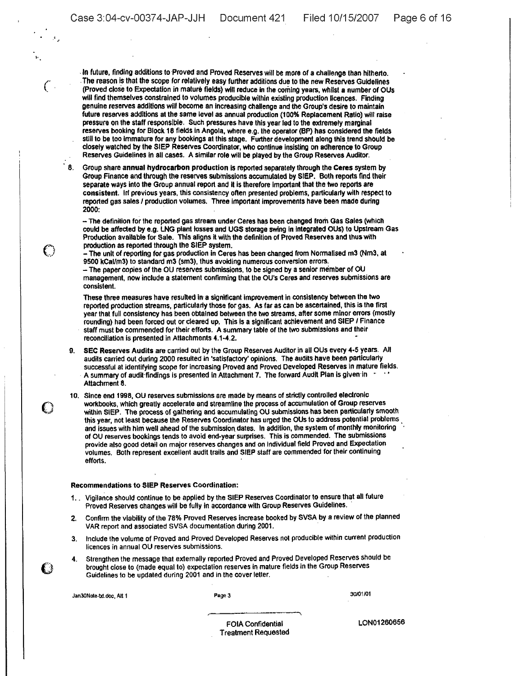·.

 $\mathcal C$ ;'.;0••/

€

In future, finding additions to Proved and Proved Reserves will be more of a challenge than hitherto. . The reason is that the scope for relatively easy further additions due to the new Reserves Guidelines (Proved close to Expectation in mature fields) will reduce in the coming years, whilst a number of OUs will find themselves constrained to volumes producible within existing production licences. Finding genuine reserves additions will become an IncreaSing challenge and the Group's desire to maintain future reserves additions at the same level as annual production (100% Replacement Ratio) will raise pressure on the staff responsible. Such pressures have this year led to the extremely marginal reserves booking for Block 18 fields in Angola, where e.g. Ihe operator (BP) has considered the fields still to be too immature for any bookings at this stage. Further development along this trend should be closely watched by the SIEP Reserves Coordinator, who continue insisting on adherence to Group Reserves Guidelines in all cases. A similar role will be played by the Group Reserves Auditor.

8. Group share annual hydrocarbon production is reported separately through the Ceres system by Group Finance andthrough the reserves submissions accumulated by SIEP. Both reports find their separate ways into the Group annual report and it is therefore important that the two reports are consistent. In previous years, this consistency often presented problems, particularly with respect to reported gas sales/ production volumes. Three important improvements have been made during 2000: .

-- The definition for the reported gas stream under Ceres has been changed from Gas Sales (which could be affected by e.g. LNG plant losses and UGS storage swing in integrated QUS) to Upstream Gas Production available for Sale. This aligns it with the definition of Proved Reserves and thus with production as reported through the SIEP system.

- The unit of reporting for gas production in Ceres has been changed from Normalised m3 (Nm3. at 9500 kCaVm3) to standard m3 (sm3), thus avoiding numerous conversion errors.  $-$  The paper copies of the OU reserves submissions, to be signed by a senior member of OU

management, now include a statement confirming that the OU's Ceres and reserves submissions are consistent.

These three measures have resulted in· a significant improvement in consistency between the two reported production streams, particularly those for gas. As far as can be ascertained, this is the first year that full consistency has been obtained between the two streams, after some minor errors (mostly rounding) had been forced out or cleared up. This is a significant achievement and SIEP / Finance staff must be commended for their efforts. A summary table Of the two submissions and their reconciliation is presented in Attachments 4.1-4.2.

- 9. SEC Reserves AUdits are carried out by the Group Reserves Auditor in all OUs every 4·5 years. All audits carried out during 2000 resulted In 'satisfactory' opinions. The audits have been particularly successful at identifying scope for increasing Proved and Proved Developed Reserves in mature fields. A summary of audit findings is presented in Attachment 7. The forward Audit Plan is given in Attachment 8.
- 10. Since end 1998, OU reserves submissions are made by means of strictly controlled electronic WOrkbooks, which greatly accelerate and streamline the process of accumulation of Group reserves within SIEP. The process of gathering and accumulating OU submissions has been particularly smooth this year, not least because the Reserves Coordinator has urged the OUs to address potential problems. and issues with him well ahead of the submission dates. In addition, the system of monthly monitoring of OU reserves bookings tends to avoid end-year surprises. This is commended. The submissions provide also good detail on major reserves changes and on Individual field Proved and Expectation volumes. Both represent excellent audit trails and SIEP staff are commended for their continuing efforts.

#### Recommendations to SIEP Reserves Coordination:

- 1.. Vigilance should continue to be applied by the SIEP Reserves Coordinator to ensure that all future Proved Reserves changes will be fully in accordance with Group Reserves Guidelines..
- 2. Confirm the viability of the 78% Proved Reserves increase booked by SVSA by a review of the planned VAR report and associated SVSA documentation during 2001.
- 3. Include Ihe volume of Proved and Proved Developed Reserves not producible wilhin current production licences in annual OU reserves submissions.
- 4. Strengthen the message that externally reported Proved and Proved Developed Reserves should be brought close to (made equal to) expectation reserves in mature fields in the Group Reserves Guidelines to be updated during 2001 and in the cover letter.

Jan30Note-bt.doc, Att 1

 $\mathbf{C}$ 

Page 3

30101 lOt

FOIA Confidential Treatment Requested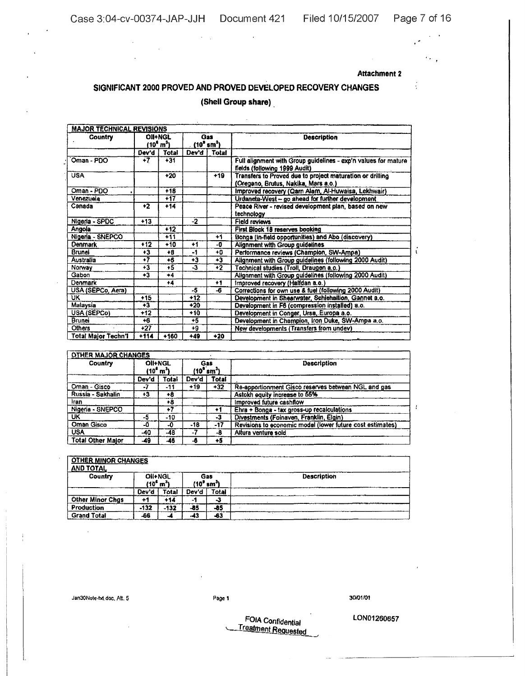$\mathcal{L}$ 

 $\mathbf{r}$ 

 $\mathbf{r}$ 

 $\ddot{\phantom{a}}$ 

 $\frac{1}{2}$ 

 $\epsilon_{\rm{max}}$ 

## **Attachment 2**

# SIGNIFICANT 2000 PROVED AND PROVED DEVELOPED RECOVERY CHANGES (Shell Group share)

 $\mathcal{L}$ 

 $\sigma_{\rm{max}}$ 

| Country             |        | OII+NGL<br>(10 <sup>6</sup> m <sup>3</sup> ) |       | Gas<br>(10° sm <sup>3</sup> ) | <b>Description</b>                                                                                |
|---------------------|--------|----------------------------------------------|-------|-------------------------------|---------------------------------------------------------------------------------------------------|
|                     | Dev'd  | Total                                        | Dev'd | Total                         |                                                                                                   |
| Oman - PDO          | +7     | $+31$                                        |       |                               | Full alignment with Group guidelines - exp'n values for mature<br>fields (following 1999 Audit)   |
| <b>USA</b>          |        | $+20$                                        |       | $+19$                         | Transfers to Proved due to project maturation or drilling<br>(Oregano, Brutus, Nakika, Mars a.o.) |
| Oman - PDO          |        | $+18$                                        |       |                               | Improved recovery (Qarn Alam, Al-Huwaisa, Lekhwair)                                               |
| Venezuela           |        | $+17$                                        |       |                               | Urdaneta-West - go ahead for further development                                                  |
| Canada              | $+2$   | $+14$                                        |       |                               | Peace River - revised development plan, based on new<br>technology                                |
| Nigeria - SPDC      | $+13$  |                                              | $-2$  |                               | <b>Field reviews</b>                                                                              |
| Angola              |        | $+12$                                        |       |                               | First Block 18 reserves booking                                                                   |
| Nigeria - SNEPCO    |        | $+11$                                        |       | +1                            | Bonga (in-field opportunities) and Abo (discovery)                                                |
| <b>Denmark</b>      | $+12$  | +10                                          | $+1$  | -0                            | Alignment with Group guidelines                                                                   |
| Brunei              | $+3$   | +B                                           | -1    | ÷О                            | Performance reviews (Champion, SW-Ampa)                                                           |
| Australia           | $+7$   | $+6$                                         | $+3$  | +3                            | Alignment with Group guidelines (following 2000 Audit)                                            |
| Norway              | +3     | $+5$                                         | $-3$  | +2                            | Technical studies (Troll, Draugen a.o.)                                                           |
| Gabon               | $+3$   | $+4$                                         |       |                               | Alignment with Group guidelines (following 2000 Audit)                                            |
| Denmark             |        | $+4$                                         |       | $+1$                          | Improved recovery (Halfdan a.o.)                                                                  |
| USA (SEPCo, Aera)   |        |                                              | -5    | -6                            | Corrections for own use & fuel (following 2000 Audit)                                             |
| UK.                 | $+15$  |                                              | $+12$ |                               | Development in Shearwater, Schiehallion, Gannet a.o.                                              |
| Malaysia            | +3     |                                              | +20   |                               | Development in F6 (compression installed) a.o.                                                    |
| USA (SEPCo)         | $+12$  |                                              | $+10$ |                               | Development in Conger, Ursa, Europa a.o.                                                          |
| <b>Brunei</b>       | $+6$   |                                              | $+5$  |                               | Development in Champion, Iron Duke, SW-Ampa a.o.                                                  |
| Others              | $+27$  |                                              | +9    |                               | New developments (Transfers from undev)                                                           |
| Total Major Techn'l | $+114$ | $+160$                                       | +49   | +20                           |                                                                                                   |

| <b>OTHER MAJOR CHANGES</b> |                                              |       |       |                              |                                                           |  |  |  |  |
|----------------------------|----------------------------------------------|-------|-------|------------------------------|-----------------------------------------------------------|--|--|--|--|
| Country                    | Oli+NGL<br>(10 <sup>6</sup> m <sup>3</sup> ) |       |       | Gas<br>$(10^9 \text{ nm}^3)$ | Description                                               |  |  |  |  |
|                            | Dev'd                                        | Total | Dev'd | Total                        |                                                           |  |  |  |  |
| Oman - Gisco               | - 1                                          | -11   | $+19$ | $-32$                        | Re-apportionment Gisco reserves between NGL and gas       |  |  |  |  |
| Russia - Sakhalin          | +3                                           | +8    |       |                              | Astokh equity increase to 55%                             |  |  |  |  |
| Iran.                      |                                              | +8    |       |                              | Improved future cashflow                                  |  |  |  |  |
| Nigeria - SNEPCO           |                                              | +7    |       | +1                           | Ehra + Bonga - tax gross-up recalculations                |  |  |  |  |
| UK                         | -5                                           | -10   |       | -3                           | Divestments (Foinaven, Franklin, Elgin)                   |  |  |  |  |
| Oman Gisco                 | -0                                           | -0    | $-18$ | -17                          | Revisions to economic model (lower future cost estimates) |  |  |  |  |
| <b>USA</b>                 | -40                                          | $-48$ | - 1   | -8                           | Altura venture sold                                       |  |  |  |  |
| <b>Total Other Maior</b>   | -49                                          | -46   | -8    | +5                           |                                                           |  |  |  |  |

| <b>OTHER MINOR CHANGES</b><br><b>AND TOTAL</b> |                                 |        |       |                               |                    |
|------------------------------------------------|---------------------------------|--------|-------|-------------------------------|--------------------|
| Country                                        | Oil+NGL<br>$(10^6 \text{ m}^3)$ |        |       | Gas<br>(10° sm <sup>3</sup> ) | <b>Description</b> |
|                                                | Dev'd                           | Total  | Dev'd | Total                         |                    |
| <b>Other Minor Chgs</b>                        | +1                              | +14    | жī    | ∼                             |                    |
| Production                                     | $-132$                          | $-132$ | -85   | -85                           |                    |
| <b>Grand Total</b>                             | -66                             |        | -43   | -63                           |                    |

Jan30Note-fid.doc, Att. 5

 $\mathcal{L}_{\mathcal{A}}$ 

## Page 1

30/01/01

LON01260657

FOIA Confidential **Treatment Requested**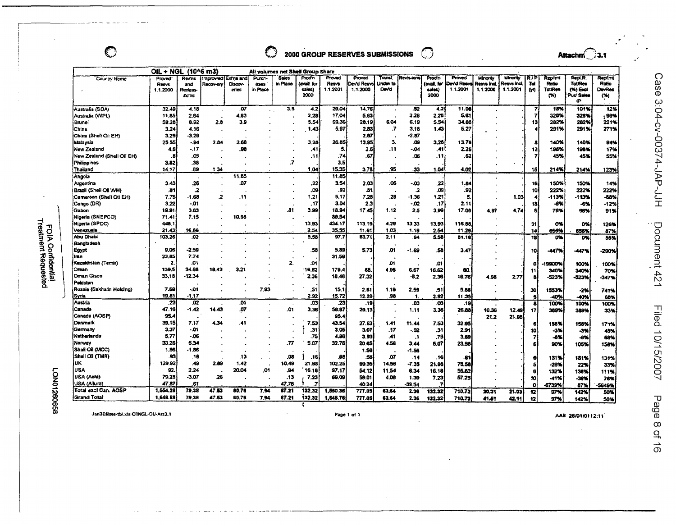$\bigodot$ 

#### O 2000 GROUP RESERVES SUBMISSIONS ි

Attachm $\bigcirc$ 3.1

|                                    | OIL + NGL (10^6 m3)                      |                                   |                       |                               |                            | All volumes net Shell Group Share |                                        |                                    |                                  |                            |             |                                         |                                  |                                    |                                            |                  |                                                  |                                               |                                         |
|------------------------------------|------------------------------------------|-----------------------------------|-----------------------|-------------------------------|----------------------------|-----------------------------------|----------------------------------------|------------------------------------|----------------------------------|----------------------------|-------------|-----------------------------------------|----------------------------------|------------------------------------|--------------------------------------------|------------------|--------------------------------------------------|-----------------------------------------------|-----------------------------------------|
| Country Name                       | Proved <sup>-</sup><br>Resys<br>1.1.2000 | Reviss<br>and<br>Reclass<br>ac'ns | Improved<br>Recov-ery | Extra and<br>Discov-<br>eries | Purch-<br>ases<br>in Place | <b>Sales</b><br>in Place          | Prodin<br>(avail for<br>sales)<br>2000 | Proved<br><b>Resvs</b><br>1.1.2001 | Proved<br>De√d Resva<br>1.1.2000 | Transf<br>Undev to<br>Devd | Revis ions  | Prodin<br>favail. for<br>sales)<br>2000 | Proved<br>David Resw<br>1.1.2001 | Minority<br>Resvs incl<br>1.1.2000 | <b>Minority</b><br>Resna Incl.<br>1.1.2001 | R7P<br>Tat<br>01 | <b>Replint</b><br>Ratio<br><b>TotiRes</b><br>(%) | Repl.R.<br>TouRes<br>$(N)$ Excl<br>Pur/ Sales | Repfmt<br>Ratio<br><b>DevRes</b><br>(*) |
|                                    |                                          |                                   |                       |                               |                            |                                   |                                        |                                    |                                  |                            |             |                                         |                                  |                                    |                                            |                  |                                                  | æ                                             |                                         |
| Australia (SDA)                    | 32.49                                    | 4.18                              | $\bullet$             | ,07                           |                            | 3.5                               | 4.2                                    | 29.04                              | 14,76                            |                            | .52         | 4.2                                     | 11.08                            |                                    |                                            |                  | 15%                                              | 101%                                          | 12%                                     |
| Australia (WPL)                    | 11.85                                    | 2.64                              |                       | 4.83                          |                            |                                   | 2,28                                   | 17.04                              | 5.63                             |                            | 2.26        | 2.28                                    | 5.61                             |                                    |                                            |                  | 328%                                             | 328%                                          | , 99%                                   |
| Brunei                             | 59.26                                    | 8.92                              | 2.8                   | 3.9                           |                            |                                   | 5.54                                   | 69,36                              | 28.19                            | 6.04                       | 6.19        | 5.54                                    | 34.88                            |                                    |                                            | 13               | 282%                                             | 282%                                          | 221%                                    |
| China                              | 3.24                                     | 4.16                              |                       |                               |                            |                                   | 1.43                                   | 5.97                               | 2.83                             | .7                         | 3,18        | 1,43                                    | 5.27                             |                                    |                                            |                  | 291%                                             | 291%                                          | 271%                                    |
| China (Shelt Oil EH)               | 3.29                                     | -3.29                             |                       |                               |                            |                                   |                                        |                                    | 2.87                             |                            | $-2.87$     |                                         |                                  |                                    |                                            |                  |                                                  |                                               |                                         |
| Malaysia                           | 25.55                                    | - 94                              | 2.84                  | 2.68                          |                            |                                   | 3,28                                   | 26.85                              | 13.95                            | 3.                         | .09         | 3,28                                    | 13.76                            |                                    |                                            |                  | 140%                                             | 140%                                          | 94%                                     |
| New Zealand                        | 4.6                                      | - 17                              |                       | 98                            |                            |                                   | .41                                    | 5.                                 | 2.6                              | .tt                        | -.04        | .41                                     | 2.26                             |                                    |                                            | 12               | 198%                                             | 198%                                          | 17%                                     |
| New Zealand (Shell Oil EH)         | .Б                                       | .as                               |                       |                               |                            |                                   | .11                                    | .74                                | .67                              |                            | .06         | .111                                    | .52                              |                                    |                                            |                  | 45%                                              | 45%                                           | 55%                                     |
| Philippines                        | 3.82                                     | .38                               |                       |                               |                            | .7                                |                                        | 3,5                                |                                  |                            |             |                                         |                                  |                                    |                                            |                  |                                                  |                                               |                                         |
| Thailand                           | 14.17                                    | .89                               | 1.34                  |                               |                            |                                   | 1.04                                   | 15.35                              | 3.78                             | 95                         | .33         | 1.04                                    | 4.02                             |                                    |                                            | 15               | 214%                                             | 214%                                          | 123%                                    |
| Angola                             |                                          |                                   |                       | 11.85                         |                            |                                   |                                        | 11.85                              |                                  |                            |             |                                         |                                  |                                    |                                            |                  |                                                  |                                               |                                         |
| Argentina                          | 3.43                                     | .26                               |                       | .07                           |                            |                                   | .22                                    | 3.54                               | 2.03                             | .06                        | - 03        | 22                                      | 1.84                             |                                    |                                            | 16,              | 150%                                             | 150%                                          | 14%                                     |
| Brazil (Shell Oil WH)              | .81                                      | 2                                 |                       |                               |                            |                                   | .09                                    | .92                                | .Bt                              |                            | .2          | .09                                     | .92                              |                                    |                                            | 10               | 222%                                             | 222%                                          | 222%                                    |
| Cameroon (Shell Oil EH)            | 7.75                                     | $-1.68$                           | 2                     | .11                           |                            |                                   | 1.21                                   | 5.17                               | 7.28                             | .29                        | $-1.36$     | 1.21                                    | 5                                |                                    | 1.03                                       |                  | -113%                                            | -113%                                         | -88%                                    |
|                                    | 3.22                                     | -.01                              |                       |                               |                            |                                   | .17                                    | 3.04                               | 2.3                              |                            | - 02        | .17                                     | 2.11                             |                                    |                                            |                  | -6%                                              | -6%                                           |                                         |
| (Congo (DR)<br>Gabon               | 19.91                                    | 3.83                              |                       |                               |                            |                                   | 3.99                                   |                                    | 17.45                            |                            |             | 3,99                                    |                                  |                                    |                                            | 18               | 76%                                              |                                               | $-12%$                                  |
|                                    |                                          | 7.15                              |                       | 10.98                         |                            | .81                               |                                        | 18.94<br>39.54                     |                                  | 1.12                       | 2,5         |                                         | 17.08                            | 4.97                               | 4.74                                       |                  |                                                  | 96%                                           | 91%                                     |
| Nigeria (SNEPCO)                   | 71.41<br>448.1                           |                                   |                       |                               |                            |                                   | 13.93                                  | 434.17                             | 113.19                           | 4.29                       |             |                                         |                                  |                                    |                                            |                  |                                                  |                                               |                                         |
| Nigeria (SPDC)<br>Venezuela        | 21.43                                    | 16.66                             |                       |                               |                            |                                   | 2.54                                   | 35,55                              |                                  | 1.03                       | 13.33       | 13,93                                   | 116.88                           |                                    |                                            | 31               | 0%                                               | o×.                                           | 126%                                    |
| Abu Dhabi                          | 103.26                                   | .02                               |                       |                               |                            |                                   | 5.58                                   | 97.7                               | 11.61<br>83.71                   | 2.11                       | 1,19<br>84. | 2.54<br>5.58                            | 11.29<br>81.18                   |                                    |                                            | 14               | 656%                                             | 656%                                          | 87%                                     |
|                                    |                                          |                                   |                       |                               |                            |                                   |                                        |                                    |                                  |                            |             |                                         |                                  |                                    |                                            | 18               | OX                                               | 0%                                            | 55%                                     |
| Bangladesh                         | 9.06                                     | $-2.59$                           |                       |                               |                            |                                   | .58                                    | 5.89                               | 5.73                             | .01                        |             | .58                                     |                                  |                                    |                                            |                  |                                                  |                                               |                                         |
| Egypt                              | 23.85                                    | 7.74                              |                       |                               |                            |                                   |                                        | 31.59                              |                                  |                            | $-1.69$     |                                         | 3.47                             |                                    |                                            | 10               | -447%                                            | -447%                                         | -290%                                   |
| iran<br>Kazakhstan (Ternir)        | 2                                        | .01                               |                       |                               |                            | 2.                                | .01                                    |                                    |                                  | .01                        |             |                                         |                                  |                                    |                                            |                  |                                                  |                                               |                                         |
| Oman                               | 139.5                                    | 34.88                             | 18.43                 |                               |                            |                                   | 16.62                                  | 179.4                              | 85.                              | 4.95                       | 6.67        | .01                                     |                                  |                                    |                                            | D                | 9900%                                            | 100%                                          | 100%                                    |
| <b>Oman Gisco</b>                  | 33.1B                                    | $-12.34$                          |                       |                               |                            |                                   | 2,36                                   | 18.48                              | 27.32                            |                            |             | 16.62                                   | 80                               |                                    |                                            | 11               | 340%                                             | 340%                                          | 70%                                     |
| Pakistan                           |                                          |                                   |                       |                               |                            |                                   |                                        |                                    |                                  |                            | -8.2        | 2,36                                    | 16.76                            | 4.98                               | 2.77                                       |                  | 523%                                             | -523%                                         | $-347%$                                 |
| Russia (Sakhalin Holding)          | 7.69                                     | -.01                              |                       |                               | 7.93                       |                                   | .51                                    | 15.1                               | 2.61                             | 1.19                       | 2.59        | .51                                     |                                  |                                    |                                            |                  |                                                  |                                               |                                         |
| <b>Syria</b>                       | 19.81                                    | $-1.17$                           |                       |                               |                            |                                   | 2.92                                   | 15.72                              | 12.29                            | .98                        | 1.          | 2.92                                    | 5.88<br>11.35                    |                                    |                                            | 30<br>s          | 1553%                                            | -2%                                           | 741%                                    |
| Austria                            | .23                                      | .02                               |                       | .01                           |                            |                                   | .cs                                    | -23                                | $\overline{.}19$                 |                            | 03.         | $\overline{\mathbf{a}}$                 |                                  |                                    |                                            |                  | -40%                                             | -40%                                          | 68%                                     |
| Canada                             | 47.16                                    | $-1.42$                           | 14.43                 | .07                           |                            | .01                               | 3,36                                   | 56.87                              | 29.13                            |                            |             | 3.36                                    | .19<br>26.88                     |                                    |                                            | л                | 100%                                             | 100%                                          | 100%                                    |
| Canada (AOSP)                      | 95.4                                     |                                   |                       |                               |                            |                                   |                                        | 95.4                               |                                  |                            | 1.11        |                                         |                                  | 10.36                              | 12.49                                      | 17               | 389%                                             | 389%                                          | 33%                                     |
| Denmark                            | 39,15                                    | 7.17                              | 4.34                  | 41                            |                            |                                   | '.53                                   | 43.54                              | 27.63                            |                            |             |                                         |                                  | 21.2                               | 21.08                                      |                  |                                                  |                                               |                                         |
| Germany                            | 3.37                                     | -.01                              |                       |                               |                            |                                   |                                        |                                    |                                  | 1.41                       | 11.44       | 7.53                                    | 32.95                            |                                    |                                            | е                | 158%                                             | 158%                                          | 171%                                    |
| Netherlands                        | 5.77                                     | - 06                              |                       |                               |                            |                                   | .31<br>.75                             | 3.05                               | 3.07                             | .17                        | - 02        | .31                                     | 2.91                             |                                    |                                            | 10               | -3%                                              | -3%                                           | 48%                                     |
| Norway                             | 33.26                                    | 5.34                              |                       |                               |                            |                                   |                                        | 4,96                               | 3.93                             | .41                        | .1          | .75                                     | 3.69                             |                                    |                                            | 7                | $-6%$                                            | -8%                                           | 68%                                     |
|                                    |                                          |                                   |                       |                               |                            | .77                               | 5.07                                   | 32.76                              | 20.65                            | 4.56                       | 3.44        | 5.07                                    | 23.58                            |                                    |                                            |                  | 90%                                              | 105%                                          | 158%                                    |
| Shall Oil (MCC)<br>Shell Oil (TMR) | 1.86<br>.93                              | -1.86                             |                       |                               |                            |                                   |                                        |                                    | 1.56                             |                            | $-1.56$     |                                         |                                  |                                    |                                            |                  |                                                  |                                               |                                         |
|                                    |                                          | .16                               |                       | .13                           |                            | .08                               | .16                                    | .98                                | .58                              | .07                        | .14         | .16                                     | -61                              |                                    |                                            | е                | 131%                                             | 181%                                          | 131%                                    |
| ΙUΚ.                               | 129.92                                   | .49                               | 2.89                  | 1.42                          |                            | 10.49                             | 21.98                                  | 102.25                             | 90.35                            | 14.56                      | $-7.35$     | 21.98                                   | 75.58                            |                                    |                                            | s                | -26%                                             | 22%                                           | 33%                                     |
| <b>USA</b>                         | 92.                                      | 2.24                              |                       | 20.04                         | <b>O1</b>                  | .94                               | 16.18                                  | 97.17                              | 54.12                            | 11.54                      | 6.34        | 16,18                                   | 55.82                            |                                    |                                            | 8                | 132%                                             | 138%                                          | 111%                                    |
| USA (Aera)                         | 79.26                                    | $-3.07$                           | .26                   |                               |                            | .13                               | 7.23                                   | 69.09                              | 59.01                            | 4.06                       | 1.39        | 7.23                                    | 57.25                            |                                    |                                            | 10               | -41%                                             | -39%                                          | 76%                                     |
| USA (Altura)                       | 47.87                                    | .61                               |                       |                               |                            | 47.78                             |                                        |                                    | 40.24                            |                            | -39.54      | 7                                       |                                  |                                    |                                            | o                | 6739%                                            | 87%                                           | 5649%                                   |
| Total excl Can. AOSP               | 1,554,28                                 | 79.38                             | 47.53                 | 60.76                         | 7,94                       | 67.21                             | 132,32                                 | 1,550.35                           | 777.05                           | 63.64                      | 2.36        | 132.32                                  | 710.72                           | 20.31                              | 21.03                                      | 12               | 97%                                              | 142%                                          | 50%                                     |
| <b>Grand Total</b>                 | 1,649.58                                 | 79.38                             | 47.53                 | 60.76                         | 7.94                       | 67.21                             | 132.32                                 | 1,645.75                           | 777.05                           | 63.64                      | 2.36        | 132.32                                  | 710.72                           | 41.51                              | 42.11                                      | $\mathbf{t}$     | 97%                                              | 142%                                          | 50%                                     |

Jan30Note-thl.xls ORNGL-OU-Att3.1

Page 1 of 1

AAB 26/01/0112:11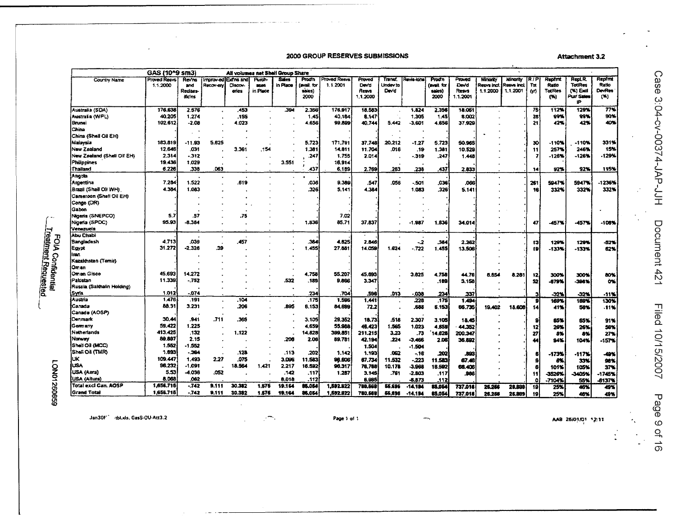#### 2000 GROUP RESERVES SUBMISSIONS

**Attachment 3.2** 

|                            | GAS (10^9 sm3)                  |                                            |                        |                                       |                                  | All volumes net Shell Group Share |                                        |                         |                                      |                            |           |                                         |                                     |                                    |                                     |                    |                                            |                                                     |                                   |
|----------------------------|---------------------------------|--------------------------------------------|------------------------|---------------------------------------|----------------------------------|-----------------------------------|----------------------------------------|-------------------------|--------------------------------------|----------------------------|-----------|-----------------------------------------|-------------------------------------|------------------------------------|-------------------------------------|--------------------|--------------------------------------------|-----------------------------------------------------|-----------------------------------|
| Country Name               | <b>Proved Resys</b><br>1.1.2000 | Revies<br>and<br><b>Reclars</b><br>ific ns | improv-ed<br>Recov-ery | <b>Exfins and</b><br>Discov-<br>eries | Arch-<br><b>ases</b><br>in Place | <b>Sales</b><br>in Place          | Prodin<br>lavail for<br>sales)<br>2000 | Toved Resys<br>1.1.2001 | Proved<br>Devid<br>Resva<br>1.1.2000 | Transf<br>Undev to<br>Devd | Revis lon | Prodin<br>(avail. for<br>saics)<br>2000 | Proved<br>Devd<br>Resys<br>1.1.2001 | Minority<br>Resvs incl<br>1.1.2000 | Minority<br>Resys incl.<br>1.1.2001 | R / P<br>Tot<br>00 | Replint<br>Ratio<br><b>TotiRes</b><br>(96) | Repl.R.<br>TotiRes<br>$(X)$ Exd<br>Put/ Sales<br>ïΡ | Replint<br>Ratio<br>DevRes<br>(W) |
| Australia (SDA)            | 176,638                         | 2.576                                      |                        | .453                                  |                                  | 394                               | 2.356                                  | 176.917                 | 18.583                               |                            | 1.824     | 2.356                                   | 18.051                              |                                    |                                     | 75                 | 112%                                       | 129%                                                | 77%                               |
| Australia (WPL)            | 40.205                          | 1.274                                      |                        | .155                                  |                                  |                                   | 1.45                                   | 40.184                  | 8.147                                |                            | 1.305     | 1.45                                    | 8.002                               |                                    |                                     | 28                 | 99%                                        | 99%                                                 | 90%                               |
| l Brunei                   | 102.612                         | $-2.08$                                    |                        | 4.023                                 |                                  |                                   | 4.656                                  | 99.899                  | 40.744                               | 5.442                      | $-3.601$  | 4.656                                   | 37.929                              |                                    |                                     | 21                 | 42%                                        | 42%                                                 | 40%                               |
| China                      |                                 |                                            |                        |                                       |                                  |                                   |                                        |                         |                                      |                            |           |                                         |                                     |                                    |                                     |                    |                                            |                                                     |                                   |
| China (Shell Oil EH)       |                                 |                                            |                        |                                       |                                  |                                   |                                        |                         |                                      |                            |           |                                         |                                     |                                    |                                     |                    |                                            |                                                     |                                   |
| Malaysia                   | 183,819                         | $-11.93$                                   | 5.625                  |                                       |                                  |                                   | 5.723                                  | 171,791                 | 37.748                               | 20.212                     | $-1.27$   | 5.723                                   | 50.965                              |                                    |                                     | 30                 | $-110%$                                    | $-110%$                                             | 331%                              |
| New Zealand                | 12.646                          | ,031                                       |                        | 3.361                                 | .154                             |                                   | 1.381                                  | 14.811                  | 11.704                               | .016                       | .19       | 1.381                                   | 10.529                              |                                    |                                     | 11                 | 257%                                       | 246%                                                | 15%                               |
| New Zealand (Shell Oil EH) | 2.314                           | $-312$                                     |                        |                                       |                                  |                                   | .247                                   | 1.755                   | 2.014                                |                            | - 319     | .247                                    | 1.448                               |                                    |                                     | 7                  | $-126%$                                    | -126%                                               | 129%                              |
| Philippines                | 19.436                          | 1.029                                      |                        |                                       |                                  | 3.551                             |                                        | 16.914                  |                                      |                            |           |                                         |                                     |                                    |                                     |                    |                                            |                                                     |                                   |
| Thailand                   | 6.226                           | .338                                       | 063                    |                                       |                                  |                                   | 437                                    | 6.189                   | 2.769                                | .263                       | .238      | 437                                     | 2.833                               |                                    |                                     | 14                 | 92%                                        | 92%                                                 | 115%                              |
| Angola                     |                                 |                                            |                        |                                       |                                  |                                   |                                        |                         |                                      |                            |           |                                         |                                     |                                    |                                     |                    |                                            |                                                     |                                   |
| Argentina                  | 7.284                           | 1.522                                      |                        | .619                                  |                                  |                                   | .036                                   | 9.389                   | .547                                 | .056                       | $-501$    | ,036                                    | ,066                                |                                    |                                     | 261                | 5947%                                      | 5947%                                               | -1236%                            |
| (Brazil (Shell Oll WH).    | 4.384                           | 1.083                                      |                        |                                       |                                  |                                   | .326                                   | 5.141                   | 4.384                                |                            | 1,083     | 326                                     | 5.141                               |                                    |                                     | 16.                | 332%                                       | 332%                                                | 332%                              |
| Cameroon (Shell Oil EH)    |                                 |                                            |                        |                                       |                                  |                                   |                                        |                         |                                      |                            |           |                                         |                                     |                                    |                                     |                    |                                            |                                                     |                                   |
| Congo (DR)                 |                                 |                                            |                        |                                       |                                  |                                   |                                        |                         |                                      |                            |           |                                         |                                     |                                    |                                     |                    |                                            |                                                     |                                   |
| Gabon                      |                                 |                                            |                        |                                       |                                  |                                   |                                        |                         |                                      |                            |           |                                         |                                     |                                    |                                     |                    |                                            |                                                     |                                   |
|                            | 5.7                             |                                            |                        |                                       |                                  |                                   |                                        |                         |                                      |                            |           |                                         |                                     |                                    |                                     |                    |                                            |                                                     |                                   |
| Nigeria (SNEPCO)           |                                 | .57                                        |                        | .75                                   |                                  |                                   |                                        | 7.02                    |                                      |                            |           |                                         |                                     |                                    |                                     |                    |                                            |                                                     |                                   |
| Nigeria (SPDC)             | 95.93                           | -8.364                                     |                        |                                       |                                  |                                   | 1.836                                  | 85.71                   | 37.837                               |                            | -1.987    | 1.836                                   | 34.014                              |                                    |                                     | 47                 | -457%                                      | -457%                                               | -108%                             |
| Venezuela                  |                                 |                                            |                        |                                       |                                  |                                   |                                        |                         |                                      |                            |           |                                         |                                     |                                    |                                     |                    |                                            |                                                     |                                   |
| <b>Abu Chabi</b>           |                                 |                                            |                        |                                       |                                  |                                   |                                        |                         |                                      |                            |           |                                         |                                     |                                    |                                     |                    |                                            |                                                     |                                   |
| Bangladesh                 | 4.713                           | .039                                       |                        | 457                                   |                                  |                                   | 384                                    | 4.625                   | 2,846                                |                            | $-2$      | .384                                    | 2.262                               |                                    |                                     | 13                 | 129%                                       | 129%                                                | -52%                              |
| Egypt                      | 31.272                          | $-2.326$                                   | .39                    |                                       |                                  |                                   | 1.455                                  | 27.881                  | 14.059                               | 1.624                      | .722      | 1,455                                   | 13,506                              |                                    |                                     | 19                 | $-133%$                                    | -133%                                               | 62%                               |
| iran.                      |                                 |                                            |                        |                                       |                                  |                                   |                                        |                         |                                      |                            |           |                                         |                                     |                                    |                                     |                    |                                            |                                                     |                                   |
| Kazakhstan (Ternir)        |                                 |                                            |                        |                                       |                                  |                                   |                                        |                         |                                      |                            |           |                                         |                                     |                                    |                                     |                    |                                            |                                                     |                                   |
| Oman                       |                                 |                                            |                        |                                       |                                  |                                   |                                        |                         |                                      |                            |           |                                         |                                     |                                    |                                     |                    |                                            |                                                     |                                   |
| Oman Gisco                 | 45.693                          | 14.272                                     |                        |                                       |                                  |                                   | 4.758                                  | 55.207                  | 45.693                               |                            | 3.825     | 4.758                                   | 44.76                               | 6.654                              | 8.281                               | 12                 | 300%                                       | 300%                                                | 80%                               |
| <b>iPakistan</b>           | 11.339                          | $-752$                                     |                        |                                       |                                  | .532                              | . 189                                  | 9.866                   | 3.347                                |                            |           | ,189                                    | 3.158                               |                                    |                                     | 52                 | -879%                                      | -398%                                               | ox.                               |
| Russia (Sakhalin Holding)  |                                 |                                            |                        |                                       |                                  |                                   |                                        |                         |                                      |                            |           |                                         |                                     |                                    |                                     |                    |                                            |                                                     |                                   |
| Syria                      | 1.012                           | - 074                                      |                        |                                       |                                  |                                   | 234                                    | .704                    | 598                                  | .013                       | .038      | 234                                     | 337                                 |                                    |                                     | э                  | -32%                                       | -32%                                                | $-11%$                            |
| Austria                    | 1.476                           | .191                                       |                        | .104                                  |                                  |                                   | .175                                   | 1.596                   | 1.441                                |                            | 228       | -175                                    | 1.494                               |                                    |                                     | я                  | 169%                                       | 189%                                                | 130%                              |
| Canada                     | 88.31                           | 3.231                                      |                        | .206                                  |                                  | .895                              | 5.153                                  | 84.699                  | 72.2                                 |                            | .688      | 6.153                                   | 66.735                              | 19.402                             | 18,608                              |                    | 41%                                        | 56%                                                 | .11%                              |
| Canada (AOSP)              |                                 |                                            |                        |                                       |                                  |                                   |                                        |                         |                                      |                            |           |                                         |                                     |                                    |                                     |                    |                                            |                                                     |                                   |
| Denmark                    | 30.44                           | .941                                       | .711                   | 365                                   |                                  |                                   | 3.105                                  | 29.352                  | 18.73                                | .518                       | 2.307     | 3.105                                   | 18.45                               |                                    |                                     | 9.                 | 65%                                        | 65%                                                 | 91%                               |
| Germany                    | 59.422                          | 1.225                                      |                        |                                       |                                  |                                   | 4.659                                  | 55,988                  | 46.423                               | 1.565                      | 1.023     | 4,659                                   | 44.352                              |                                    |                                     | 12                 | 26%                                        | 26%                                                 | 56%                               |
| Netherlands                | 413,425                         | .132                                       |                        | 1.122                                 |                                  |                                   | 14.828                                 | 399.851                 | 211.215                              | 3.23                       | .73       | 14.828                                  | 200.347                             |                                    |                                     | 27                 | 8%                                         | 8%                                                  | 27%                               |
| Norway                     | 89.897                          | 2.15                                       |                        |                                       |                                  | .208                              | 2.06                                   | 59.781                  | 42.194                               | .224                       | $-3.466$  | 2.08                                    | 36.882                              |                                    |                                     | 44                 | 94%                                        | 104%                                                | -157%                             |
| Shell Oil (MCC)            | 1.552                           | -1.552                                     |                        |                                       |                                  |                                   |                                        |                         | 1.504                                |                            | $-1.504$  |                                         |                                     |                                    |                                     |                    |                                            |                                                     |                                   |
| Shell Oil (TMR)            | 1.693                           | - 364                                      |                        | .128                                  |                                  | .113                              | 202                                    | 1.142                   | 1.193                                | .062                       | - 16      | .202                                    | .893                                |                                    |                                     |                    | -173%                                      | $-117%$                                             | -49%                              |
| UK                         | 109.447                         | 1.493                                      | 2.27                   | .075                                  |                                  | 3.096                             | 11.583                                 | 98.606                  | 87.734                               | 11.532                     | $-223$    | 11.583                                  | 67.49                               |                                    |                                     |                    | 6%                                         | 33%                                                 | 98%                               |
| USA                        | 96.232                          | -1.091                                     |                        | 18.564                                | 1.421                            | 2.217                             | 16.592                                 | 96.317                  | 76,768                               | 10.178                     | -3,968    | 18.592                                  | 66.406                              |                                    |                                     |                    | 101%                                       | 105%                                                | 37%                               |
| LUSA (Aera)                | 5.53                            | -4.036                                     | .052                   |                                       |                                  | .142                              | .117                                   | 1.287                   | 3.145                                | .761                       | $-2.803$  | ,117                                    | 386.                                |                                    |                                     | 11                 | -3526%                                     | 3405%                                               | $-1745%$                          |
| USA (Altura)               | 8.068                           | .062                                       |                        |                                       |                                  | 8.018                             | -112                                   |                         | 6.985                                |                            | $-8.873$  | .112                                    |                                     |                                    |                                     | ٥                  | -71044                                     | 55%                                                 | -6137%                            |
| Total excl Can, AOSP       | 1,656.715                       | .742                                       | 9.111                  | 30.382                                | 1.575                            | 19.164                            | 85.064                                 | 1.592.822               | 780.568                              | 56.696                     | -14.194   | 85,054                                  | 737.016                             | 26.266                             | 26,889                              | 19                 | 25%                                        | 46%                                                 | 49%                               |
| <b>Grand Total</b>         | 1,656.715                       | $-742$                                     | 9.111                  | 30.392                                | 1.575                            | 19.164                            | 86.054                                 | 1.592.822               | 780.668                              | 56,696                     | $-14.134$ | 85.054                                  | 737.018                             | 26.256                             | 26.889                              | 19                 | 25%                                        | 48%                                                 | 49%                               |

# FOIA Confidential<br>—Treatment Requested<br>—Treatment Requested

FON01260659

Jan30f<sup>\*\*</sup> -tbl.xls, GasS-OU-Att3.2

Page 1 of 1

AAB 25/01/01 12:11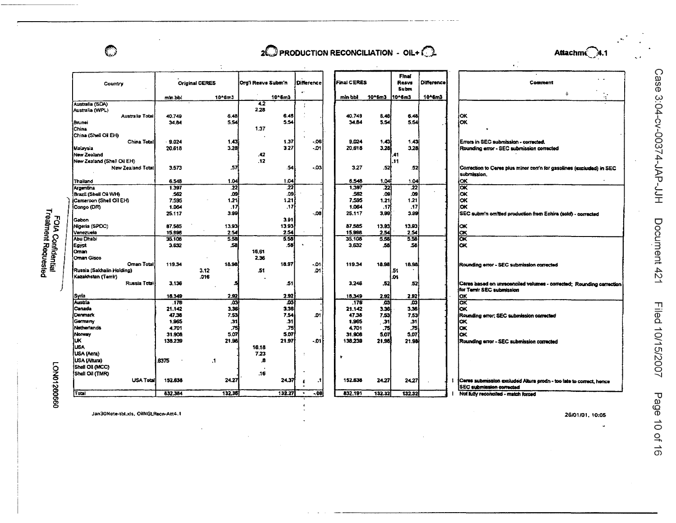$\mathbb{C}$ 

# $2\mathbb{O}$  PRODUCTION RECONCILIATION - OIL+ $\mathbb{O}$



Case 3:04-cv-00374-JAP-JJH

Document 421

Filed 10/15/2007

Page 10 of 16

|                                                |                   |                       |                    |             |                                        |                    |               |                        |                   | $\bullet$ .                                                                                            |
|------------------------------------------------|-------------------|-----------------------|--------------------|-------------|----------------------------------------|--------------------|---------------|------------------------|-------------------|--------------------------------------------------------------------------------------------------------|
| Country                                        |                   | <b>Original CERES</b> | Org'l Resvs Subm'n |             | <b>Difference</b><br>$\bullet^{\star}$ | <b>Final CERES</b> |               | Final<br>Resys<br>Subm | <b>Difference</b> | Comment                                                                                                |
|                                                | min bbi           | 10^6m3                |                    | $10°$ 6m3   |                                        | min bbl            | $10*6m3$      | $10 - 6m3$             | 10^6m3            | ÷<br>$\mathcal{L}^{\mathcal{L}}$                                                                       |
| Australia (SDA)                                |                   |                       | 4.2                |             | ÷                                      |                    |               |                        |                   |                                                                                                        |
| Australia (WPL)<br>Australia Total             | 40.749            | 6.48                  | 2.26               | 6.46        |                                        | 40.749             | 5,48          | 6.46                   |                   | OK                                                                                                     |
| Brunei                                         | 34.84             | 5.54                  |                    | 5.54        |                                        | 34.84              | 5.54          | 5.54                   |                   | <b>OK</b>                                                                                              |
| China                                          |                   |                       | 1,37               |             |                                        |                    |               |                        |                   |                                                                                                        |
| China (Shell Oil EH)                           |                   |                       |                    |             |                                        |                    |               |                        |                   |                                                                                                        |
| China Total                                    | 9.024             | 1,43                  |                    | 1.37        | $-06$                                  | 9.024              | 1.43          | 1,43                   |                   | Errors in SEC submission - corrected.                                                                  |
| Malavsia                                       | 20.618            | 3.28                  |                    | 3.27        | - 01                                   | 20.618             | 3.28          | 3.28                   |                   | Rounding error - SEC submission corrected                                                              |
| New Zealand                                    |                   |                       | .42                |             |                                        |                    |               | .41                    |                   |                                                                                                        |
| New Zealand (Shell Oil EH)                     |                   |                       | .12                |             |                                        |                    |               | .11                    |                   |                                                                                                        |
| New Zealand Total                              | 3.573             | .57                   |                    | 54          | -.03                                   | 3.27               | .52           | .52                    |                   | Correction to Ceres plus minor con'n for gasolines (excluded) in SEC<br>submission.                    |
| Thailand                                       | 6.548             | 1.04                  |                    | 1.04        |                                        | 6.548              | 1.04          | 1.04                   |                   | <b>OK</b>                                                                                              |
| Argentina                                      | 1.397             | $\overline{22}$       |                    | 22          |                                        | 1,397              | 22            | $\overline{22}$        |                   |                                                                                                        |
| Brazil (Shell Oil WH)                          | 562               | ക്ക                   |                    | .09         |                                        | 562                | .09           | .09                    |                   | iоĸ                                                                                                    |
| Cameroon (Shell Oil EH)                        | 7.595             | 1.21                  |                    | 1,21        |                                        | 7,595              | 1.21          | 1.21                   |                   | lок                                                                                                    |
| (Congo (DR)                                    | 1.064<br>25.117   | .17<br>3.99           |                    | .17         | -.08                                   | 1.064<br>25.117    | .17<br>3.99   | .17<br>3.99            |                   | lox                                                                                                    |
| Gabon                                          |                   |                       |                    | 3.91        |                                        |                    |               |                        |                   | SEC subm'n omitted production from Echira (sold) - corrected                                           |
| Nigeria (SPDC)                                 | 87.585            | 13.93                 |                    | 13.93       |                                        | 87.585             | 13.93         | 13.93 <sub>1</sub>     |                   | oĸ                                                                                                     |
| Venezuela                                      | 15.996            | 2.54                  |                    | 2.54        |                                        | 15,998             | 2.54          | 2.54                   |                   |                                                                                                        |
| <b>Abu Dhabi</b>                               | 35.108            | 5.58                  |                    | 5.56        |                                        | 35,108             | 5.58          | 558                    |                   | 쯙                                                                                                      |
| Egypt                                          | 3.632             | ,58                   |                    | .56         |                                        | 3,632              | .58           | 58                     |                   | OК                                                                                                     |
| Oman                                           |                   |                       | 16.61              |             |                                        |                    |               |                        |                   |                                                                                                        |
| Oman Gisco                                     |                   |                       | 2.36               |             |                                        |                    |               |                        |                   |                                                                                                        |
| <b>Oman Total</b><br>Russia (Sakhalin Holding) | 119.34            | 18.98<br>3.12         | .51                | 18.97       | $-01$<br>$\Omega$ 1                    | 119.34             | 18.98         | 18.98<br>51            |                   | Rounding error - SEC submission corrected                                                              |
| Kazakhstan (Temir)                             |                   | .016                  |                    |             |                                        |                    |               | .01                    |                   |                                                                                                        |
| Russia Total                                   | 3.136             | 5                     |                    | .51         |                                        | 3.246              | .52           | 52                     |                   | Ceres based on urreconciled volumes - corrected; Rounding correction                                   |
|                                                |                   |                       |                    |             |                                        |                    |               |                        |                   | for Ternir SEC submission                                                                              |
| Syria                                          | 18.349            | 2.92                  |                    | 2.92        |                                        | 18,349             | 2,92          | 2.92                   |                   | юĸ                                                                                                     |
| Austria                                        | .176              | 703                   |                    | ģ           |                                        | .176               | .03           | $\overline{03}$        |                   | σĸ                                                                                                     |
| Canada                                         | 21.142            | 3.36                  |                    | 3.36        |                                        | 21.142             | 3.36          | 3.36                   |                   | kκ                                                                                                     |
| Denmark                                        | 47.38             | 7.53                  |                    | 7.54        | .01                                    | 47.38              | 7,53          | 7.53                   |                   | Rounding error; SEC submission corrected                                                               |
| Germany                                        | 1.965             | .31                   |                    | 31          |                                        | 1.965              | . 31          | .31                    |                   | iок                                                                                                    |
| Netherlands<br>Nomav                           | 4.701             | .75<br>5.07           |                    | .75<br>5.07 |                                        | 4.701<br>31.906    | .75           | .75<br>5.07            |                   | lок<br>iоĸ                                                                                             |
| iuк.                                           | 31,908<br>138.239 | 21.98                 |                    | 21.97       | - 01 i                                 | 138,239            | 5.07<br>21,98 | 21.98                  |                   |                                                                                                        |
| <b>LISA</b>                                    |                   |                       | 16.18              |             |                                        |                    |               |                        |                   | Rounding error - SEC submission corrected                                                              |
| USA (Aera)                                     |                   |                       | 7.23               |             |                                        |                    |               |                        |                   |                                                                                                        |
| USA (Altura)                                   | 6375              | $\cdot$               | .8                 |             |                                        |                    |               |                        |                   |                                                                                                        |
| Shell Oil (MCC)                                |                   |                       |                    |             |                                        |                    |               |                        |                   |                                                                                                        |
| Shell Oil (TMR)                                |                   |                       | .16                |             |                                        |                    |               |                        |                   |                                                                                                        |
| <b>USA Total</b>                               | 152,638           | 24.27                 |                    | 24,37       | $\mathbf{.}1$<br>1                     | 152,638            | 24.27         | 24.27                  |                   | Cares submission excluded Altura prodn - too late to correct, hence<br><b>SEC submission corrected</b> |
| Total                                          | 832.384           | 132.35                |                    | 132.27      | $-08$                                  | 832,191            | 132.32        | 132.32                 |                   | Not fully reconciled - match forced                                                                    |

FOIA Confidential<br>Treatment Requested

**LON01260660** 

Jan30Note-tbl.xls, OilNGLRecn-Att4.1

26/01/01, 10:05

J.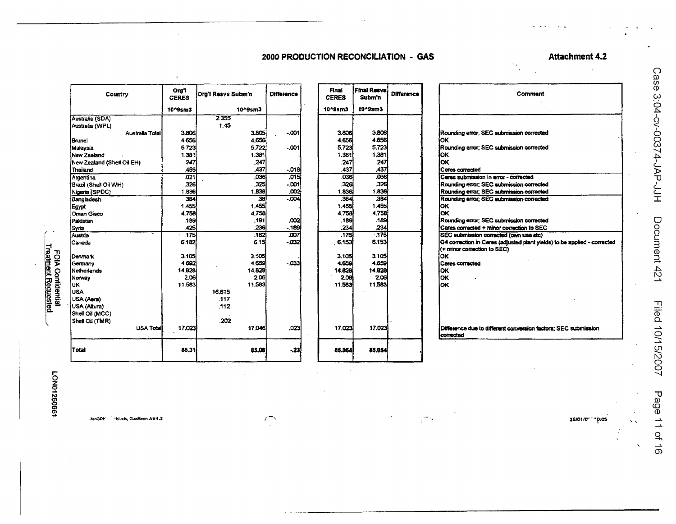## **Attachment 4.2**

# 2000 PRODUCTION RECONCILIATION - GAS

| Country                    | Org1<br><b>CERES</b> | Ora'l Resys Subm'n |         | Difference |
|----------------------------|----------------------|--------------------|---------|------------|
|                            | 10^9sm3              |                    | 10^9sm3 |            |
| Australia (SDA)            |                      | 2.355              |         |            |
| Australia (WPL)            |                      | 1.45               |         |            |
| Australia Total            | 3.806                |                    | 3.805   | $-001$     |
| Brunei                     | 4.656                |                    | 4.656   |            |
| Malaysia                   | 5.723                |                    | 5.722   | $-001$     |
| New Zealand                | 1.381                |                    | 1.381   |            |
| New Zealand (Shell Oil EH) | 247                  |                    | .247    |            |
| Thailand                   | .455                 |                    | .437    | $-018$     |
| Argentina                  | .021                 |                    | .036    | .015       |
| Brazil (Shell Oil WH)      | .326                 |                    | .325    | $-001$     |
| Nigeria (SPDC)             | 1.836                |                    | 1.838   | .002       |
| Bangladesh                 | 384                  |                    | 38      | $-004$     |
| Egypt                      | 1.455                |                    | 1.455   |            |
| <b>Oman Gisco</b>          | 4.758                |                    | 4.758   |            |
| Pakistan                   | .189                 |                    | .191    | .002       |
| Syria                      | .425                 |                    | .236    | .189       |
| Austria                    | .175                 |                    | 182     | .007       |
| Canada                     | 6.182                |                    | 6.15    | $-032$     |
| Denmark                    | 3.105                |                    | 3.105   |            |
| Germany                    | 4,692                |                    | 4.659   | $-033$     |
| Netherlands                | 14.828               |                    | 14.828  |            |
| Norway                     | 2.06                 |                    | 2.06    |            |
| UK                         | 11.583               |                    | 11.583  |            |
| <b>USA</b>                 |                      | 16.615             |         |            |
| USA (Aera)                 |                      | .117               |         |            |
| USA (Altura)               |                      | .112               |         |            |
| Shell Oil (MCC)            |                      |                    |         |            |
| Shell Oil (TMR)            |                      | .202               |         |            |
| <b>USA Total</b>           | 17.023               |                    | 17.046  | ,023       |
| <b>Total</b>               | 85.31                |                    | 85.08   | -23        |

| Final<br><b>CERES</b> | <b>Final Resvs</b><br>Subm'n | <b>Difference</b> |
|-----------------------|------------------------------|-------------------|
| 10^9sm3               | 10^9sm3                      |                   |
|                       |                              |                   |
| 3.806                 | 3.806                        |                   |
| 4,656                 | 4.656                        |                   |
| 5.723                 | 5.723                        |                   |
| 1.381                 | 1.381                        |                   |
| .247                  | .247                         |                   |
| 437                   | .437                         |                   |
| .036                  | .0361                        |                   |
| 326                   | .326                         |                   |
| 1.836                 | 1.836                        |                   |
| .384                  | .384                         |                   |
| 1.455                 | 1.455                        |                   |
| 4.75Bi                | 4.758                        |                   |
| .1891                 | .189                         |                   |
| .234                  | .234                         |                   |
| 175                   | .175                         |                   |
| 6.153                 | 6.153                        |                   |
| 3.105                 | 3.105                        |                   |
| 4,659                 | 4.659                        |                   |
| 14.82B                | 14.828                       |                   |
| 2.06                  | 2.06                         |                   |
| 11.583                | 11.583                       |                   |
|                       |                              |                   |
|                       |                              |                   |
|                       |                              |                   |
|                       |                              |                   |
|                       |                              |                   |
| 17.023                | 17.023                       |                   |
| 85.054                | 15.06                        |                   |

| Comment                                                                                                 |
|---------------------------------------------------------------------------------------------------------|
|                                                                                                         |
|                                                                                                         |
|                                                                                                         |
|                                                                                                         |
| Rounding error; SEC submission corrected                                                                |
| ОΚ                                                                                                      |
| Rounding arror: SEC submission corrected                                                                |
| OΚ                                                                                                      |
| lОК                                                                                                     |
| Ceres corrected                                                                                         |
| Cares submission in error - corrected                                                                   |
| Rounding error: SEC submission corrected                                                                |
| Rounding error, SEC submission corrected                                                                |
| Rounding error: SEC submission corrected                                                                |
| ОΚ                                                                                                      |
| оĸ                                                                                                      |
| Rounding error: SEC submission corrected                                                                |
| Ceres corrected + minor correction to SEC<br>SEC submission corrected (own use etc)                     |
|                                                                                                         |
| Q4 correction in Cares (adjusted plant yields) to be applied - corrected<br>(+ minor correction to SEC) |
| OK                                                                                                      |
| Ceres corrected                                                                                         |
| OK                                                                                                      |
| OK                                                                                                      |
| OK                                                                                                      |
|                                                                                                         |
|                                                                                                         |
|                                                                                                         |
|                                                                                                         |
|                                                                                                         |
| Difference due to different conversion factors; SEC submission                                          |
| corrected                                                                                               |

 $\overline{\phantom{a}}$ 

bl.xls, GasRecn-Att4.2 Jan3OF

 $\bigcap\limits_{i=1}^n$ 

26/01/011005

 $\mathbf{z}$ 

Case 3:04-cv-00374-JAP-JJH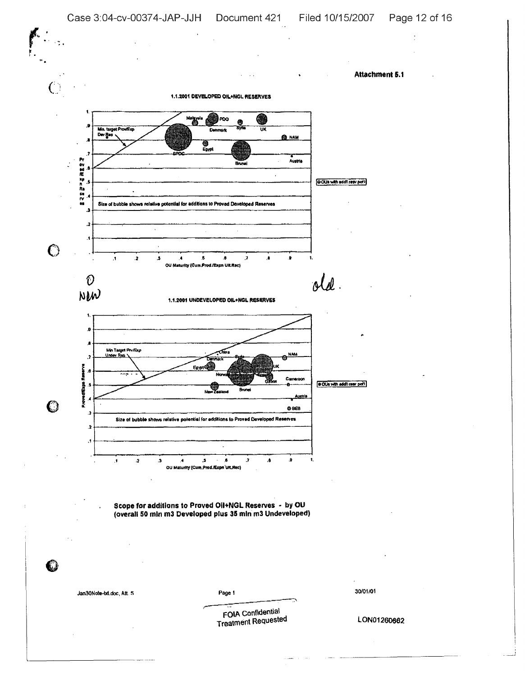Attachment 5.1

1.1.2001 DEVELOPED OIL+NGL RESERVES



Scope for additions to Proved Oil+NGL Reserves - by OU<br>(overall 50 mln m3 Developed plus 35 mln m3 Undeveloped)

Jan30Note-bit.doc, Att. 5

Page 1

30/01/01

FOIA Confidential **Treatment Requested**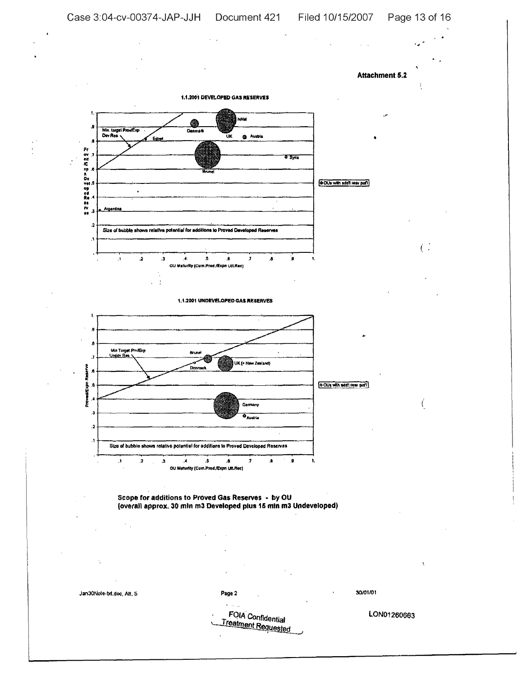$\overline{(\cdot)}$ 

 $\epsilon$ 





1.1.2001 UNDEVELOPED GAS RESERVES



o OUs with add't rear pot'l



Jan30Nole-bit.doc, Att, 5

Page 2

30/01/01

FOIA Confidential Treatment Requested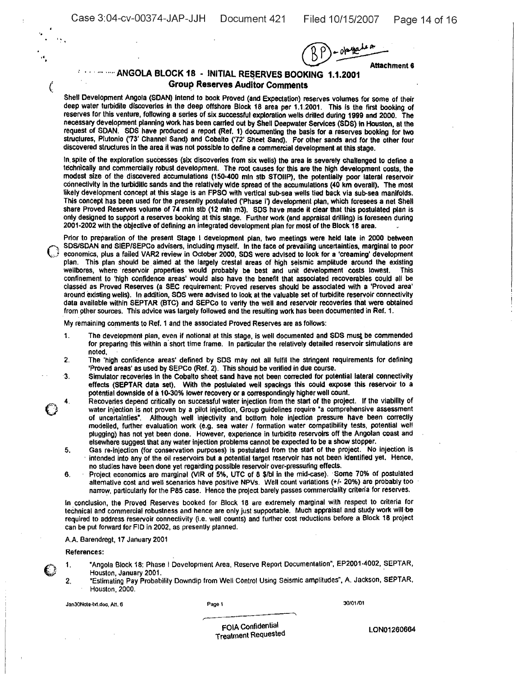3:04-cv-00374-JAP-JJH Document 421 Filed 10/15/2007 Page 14 of 16

'.

" <sup>f</sup>

(

 $(RP)-\text{otherwise}$ Attachment 6

# **E. Learning: ANGOLA BLOCK 18 - INITIAL RESERVES BOOKING 1.1.2001** Group Reserves Auditor Comments

Shell Development Angola (SDAN) intend to book Proved (and Expectation) reserves volumes for some of their deep water turbidite discoveries in the deep offshore Block 18 area per 1.1.2001. This is the first booking of reserves for this venture, following a series of six successful exploration wells drilled during 1999 and 2000. The necessary development planning WOrk has been carried out by Shell Oeepwater Services (SOS) in Houston, at the request of SDAN. SDS have produced a report (Ref. 1) documenting the basis for a reserves booking for two structures, Plutonio ('73' Channel Sand) and Cobalto ('72' Sheet Sand). For other sands and for the other four discovered structures in the area it was not possible to define a commercial development at this stage.

In spite of the exploration successes (six discoveries from six wells) the area is severely challenged to define a technically and commercially robust development. The root causes for this are the high development costs, the modest size of the discovered accumulations (150-400 mln stb STOUP), the potentially poor lateral reservoir connectivity in the turbiditic sands and the relallvely wide spread of the accumulations (40 km overall). The most likely development concept at this stage is an FPSO with vertical sub-sea wells lied back via sub-sea manifolds. This concept has been used for the presently postulated ('Phase I') development plan, which foresees a net Shell share Proved Reserves volume of 74 mln stb (12 mln m3). SDS have made it clear that this postulated plan is only designed to support a reserves booking at this stage. Further work (and appraisal drilling) Is foreseen during 2001·2002 with the objective of defining an integrated development plan for most of the Block 18 area.

Prior to preparation of the present Stage I development plan, two meetings were held late in 2000 between SDS/SDAN and SIEP/SEPCo advisers. inCluding myself. In Ihe face of prevailing uncertainties. marginal to poor economics, plus a failed VAR2 review in October 2000, SOS were advised to look for a 'creaming' development plan. This plan should be aimed at the largely crestal areas of high seismic amplitude around the existing wellbores. Where reservoir properties would probably be best and unit development costs lowest. This wellbores, where reservoir properties would probably be best and unit development costs lowest. confinement to 'high confidence areas' would also have the benefit that associated recoverables could all be classed as Proved Reserves (a SEC requirement: Proved reserves should be associated with a 'Proved area' around existing wells). In addition, SOS were advised to look at the valuable set of turbidite reservoir connectivity data available within SEPTAR (BTC) and SEPCo to verify the well and reservoir recoveries that were obtained from 9ther sources. This advice was largety followed and the resulting work has been documented in Ref. 1.

My remaining comments to Ref. 1 and the associated Proved Reserves are as follows:

- 1. The development plan, even If notional at this stage. is well documented and SOS must be commended for preparing this within a'short time frame. In particular the relatively detailed reservoir simulations are noted.
- 2. The 'high confidence areas' defined by SDS may not all fulfil the stringent requirements for defining 'Proved areas' as used by SEPCo (Ref. 2). This should be verified in due course.
- Simulator recoveries in the Cobalto sheet sand have not been corrected for potential lateral connectivity effects (SEPTAR data set). With the postulated well spaclngs this could expose this reservoir to a potential downside of a10-30% lower recovery or <sup>a</sup> correspondingly higher well count. 3.
- Recoveries depend critically on successful water injection from the start of the project. If the viability of water injection is not proven by a pilot injection, Group guidelines require "a comprehensive assessment or uncertainties". Although well injectlvity and bottom hole injection pressure have been correctly modelled, further evaluation work (e.g. sea water / formation water compatibility tests, potential well plugging) has not yet been done. However, experience in turbidite reservoirs off the Angolan coast and elsewhere suggest that any water injection problems cannot be expected to be a show stopper.  $\bigodot^{4}$ 
	- 5. Gas re-injection (for conservation purposes) is postulated from the start of the project. No injection is intended into any of the oil reservoirs but a potential target reservoir has not been identified yet. Hence, no studies have been done yet regarding possible reservoir over-pressuring effects.
	- 6. Project economics are marginal (VIR of 5%, UTC of 8 \$/bl in the mid-case). 'some 70% of postulated alternative cost and well scenarios have positive NPVs. Well count variations (+/- 20%) are probably too narrow, particularly for the P85 case. Hence the project barely passes commerciality criteria for reserves.

In conclusion, the Proved Reserves booked for Block 18 are extremely marginal with respect to criteria for technical and commercial robustness and hence are only just supportable. Much appraisal and study work will be required to address reservoir connectivity (Le. well counts) and further cost reductions before a Block 18 project Can be put forward for FID in 2002, as presently planned.

#### AA Barendregt, 17 January 2001

References:

2.

···· ..

- 1. "Angola Block 18: Phase I Development Area, Reserve Report Documentation", EP2001·4002. SEPTAR, Houston, January 2001. .
	- "Estimating Pay Probability Downdip from Well Control Using Seismic amplitudes', A. Jackson, SEPTAR. Houston, 2000.

Jan30Note-txt.doc, Att. 6 Page 1

30/01101

,.--~--~----~ FOIA Confidential Treatment Requested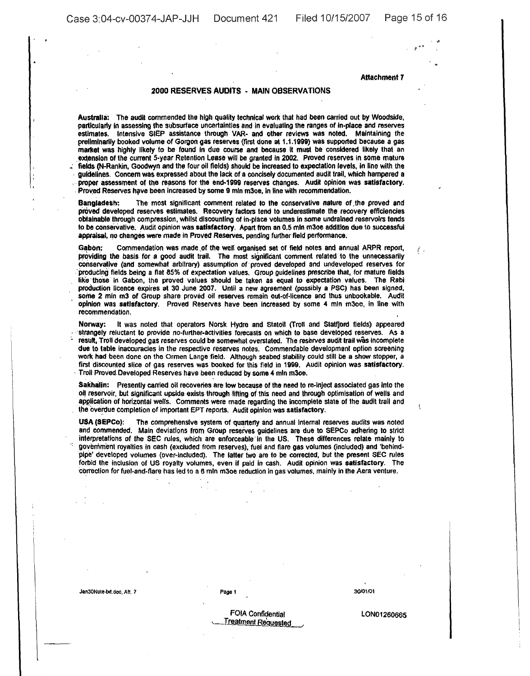Case 3:04-cv-00374-JAP-JJH Document 421 Filed 10/15/2007 Page 15 of 16

'"

....

Attachment 7

#### 2000 RESERVES AUDITS - MAIN OBSERVATIONS

Australia: The audit commended the high quality technical work that had been carried out by Woodside, particularly in assessing the subsurface uncertainties and in evaluallng the ranges of In-place and reserves estimates. Intensive SIEP assistance through VAR- and other reviews was noted. Maintaining the preliminarily booked volume of Gorgon gas reserves (first done at 1.1.1999) was supported because a gas martcet was highly likely to be found in due course and because it must be cOnsidered likely that an extension of the current 5-year Retention Lease will be granted in 2002. Proved reserves in some mature fields (N-Rankin, Goodwyn and the four oil fields) should be increased to expectation levels, in line with the guidelines. Concern was expressed about the lack of a concisely documented audit trail, which hampered a proper assessment of the reasons for the end-1999 reserves changes. Audit opinion was satisfactory. Proved Reserves have been increased by some 9 mln m3oe, in line with recommendation.

Bangladesh: The most significant comment related to the conservative nature of the proved and proved developed reserves estimates. Recovery factors tend to underestimate the recovery efficiencies obtainable through compression, whilst discounting of in-place volumes in some undrained reservoirs tends to be conserVative. Audit opinion was satisfactory. Apart from an 0.5 mln m30e addition due to successful appraisal, no changes were made in Proved Reserves, pending further field performance.

Gabon: Commendation was made of the well organised set of field notes and annual ARPR report,  $\overline{f}$ providing the basis for a good audit trail. The most significant comment related to the unnecessarily conservative (and somewhat arbitrary) assumption of proved developed and undeveloped reserves for 'producing fields being a fiat 85% of expectation values. Group guidelines prescribe that, (or mature fields Iike'those In Gabon, the proved values should be taken as equal to expectation values. The Rabi production licence expires at 30 June 2007. Until a new agreement (possibly a PSC) has been signed, some 2 mln m3 of Group share proved oil reserves remain out·of·licence and thus unbookable. Audit opinion was satisfactory. Proved Reserves have been increased by some 4 mln m30e, in line with recommendation.

Norway: It was noted that operators Norsk Hydro and statoil (Troll and Statfjord fields) appeared 'strangely reluctant to provide no-further-aetivities forecasts on which to base developed reserves. As a result. Troll developed gas reserves could be somewhat overstated. The reserves audit trail was incomplete due to table inaccuracies in the respective reserves notes. Commendable development option screening work had been done on the Ormen Lange field. Although seabed stability could still be a show stopper, a first discounted slice of gas reserves was booked for this field in 1999. Audit opinion was satisfactory. Troll Proved Developed Reserves have been reduced by some 4 mln m30e.

Sakhalin: Presently carried oil recoveries are low because of the need to re-inject associated gas into the oil reservoir, but significant upside exists through lifting of this need and through optimisation of wells and application of horizontal wells. Comments were made regarding the incomplete state of the audit trail and the overdue completion of important EPT reports. Audit opinion was satisfactory.

USA (SEPCo): The comprehensive system of quarterly and annual internal reserves audits was noted and commended. Main deviations from Group reserves guidelines are due to SEPCo adhering to slrict interpretations of the SEC rules, which are enforceable'ln the US. These differences relate mainly to government royalties in cash (excluded from reserves), fuel and flare gas volumes (included) and 'behindpipe' developed volumes (over-included). The latter two are to be corrected, but the present SEC rules forbid the inclusion of US royalty volumes, even if paid in cash. Audit opinion was satisfactory. The correction for fuel-and·flare has led to a 6 mln m30e reduction in gas volumes. mainly In the Aem venture.

Jan30Note-bd,doc, Att. 7 Page 1

30/01/01

FOIA Confidential Treatment Requested

lON01260665